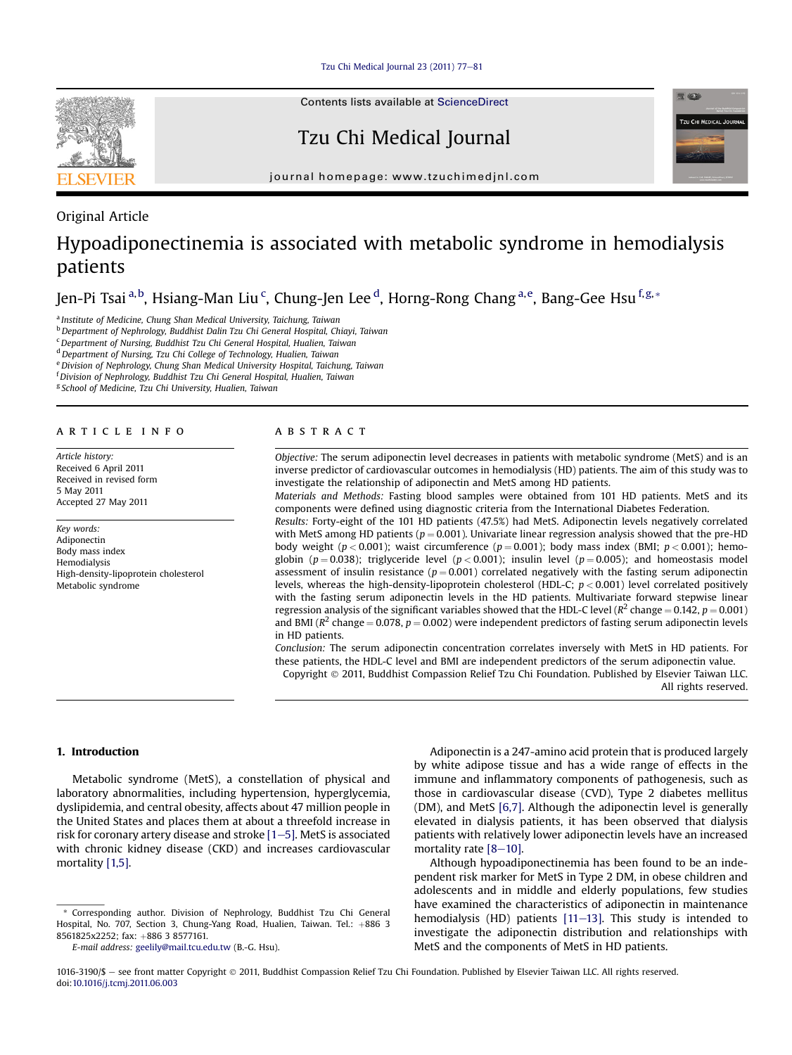[Tzu Chi Medical Journal 23 \(2011\) 77](http://dx.doi.org/10.1016/j.tcmj.2011.06.003)-[81](http://dx.doi.org/10.1016/j.tcmj.2011.06.003)



Contents lists available at [ScienceDirect](www.sciencedirect.com/science/journal/10163190)

# Tzu Chi Medical Journal



journal homepage: [www.tzuchimedjnl.com](http://www.tzuchimedjnl.com)

# Original Article

# Hypoadiponectinemia is associated with metabolic syndrome in hemodialysis patients

Jen-Pi Tsai <sup>a,b</sup>, Hsiang-Man Liu <sup>c</sup>, Chung-Jen Lee <sup>d</sup>, Horng-Rong Chang <sup>a,e</sup>, Bang-Gee Hsu <sup>f,g,</sup>\*

<sup>a</sup> Institute of Medicine, Chung Shan Medical University, Taichung, Taiwan

<sup>b</sup> Department of Nephrology, Buddhist Dalin Tzu Chi General Hospital, Chiayi, Taiwan

<sup>c</sup>Department of Nursing, Buddhist Tzu Chi General Hospital, Hualien, Taiwan

<sup>d</sup> Department of Nursing, Tzu Chi College of Technology, Hualien, Taiwan

e Division of Nephrology, Chung Shan Medical University Hospital, Taichung, Taiwan

<sup>f</sup> Division of Nephrology, Buddhist Tzu Chi General Hospital, Hualien, Taiwan

<sup>g</sup> School of Medicine, Tzu Chi University, Hualien, Taiwan

### article info

Article history: Received 6 April 2011 Received in revised form 5 May 2011 Accepted 27 May 2011

Key words: Adiponectin Body mass index Hemodialysis High-density-lipoprotein cholesterol Metabolic syndrome

#### ABSTRACT

Objective: The serum adiponectin level decreases in patients with metabolic syndrome (MetS) and is an inverse predictor of cardiovascular outcomes in hemodialysis (HD) patients. The aim of this study was to investigate the relationship of adiponectin and MetS among HD patients.

Materials and Methods: Fasting blood samples were obtained from 101 HD patients. MetS and its components were defined using diagnostic criteria from the International Diabetes Federation.

Results: Forty-eight of the 101 HD patients (47.5%) had MetS. Adiponectin levels negatively correlated with MetS among HD patients ( $p = 0.001$ ). Univariate linear regression analysis showed that the pre-HD body weight ( $p < 0.001$ ); waist circumference ( $p = 0.001$ ); body mass index (BMI;  $p < 0.001$ ); hemoglobin ( $p = 0.038$ ); triglyceride level ( $p < 0.001$ ); insulin level ( $p = 0.005$ ); and homeostasis model assessment of insulin resistance ( $p = 0.001$ ) correlated negatively with the fasting serum adiponectin levels, whereas the high-density-lipoprotein cholesterol (HDL-C;  $p < 0.001$ ) level correlated positively with the fasting serum adiponectin levels in the HD patients. Multivariate forward stepwise linear regression analysis of the significant variables showed that the HDL-C level ( $R^2$  change = 0.142,  $p = 0.001$ ) and BMI ( $R^2$  change = 0.078, p = 0.002) were independent predictors of fasting serum adiponectin levels in HD patients.

Conclusion: The serum adiponectin concentration correlates inversely with MetS in HD patients. For these patients, the HDL-C level and BMI are independent predictors of the serum adiponectin value.

Copyright 2011, Buddhist Compassion Relief Tzu Chi Foundation. Published by Elsevier Taiwan LLC. All rights reserved.

### 1. Introduction

Metabolic syndrome (MetS), a constellation of physical and laboratory abnormalities, including hypertension, hyperglycemia, dyslipidemia, and central obesity, affects about 47 million people in the United States and places them at about a threefold increase in risk for coronary artery disease and stroke  $[1-5]$  $[1-5]$ . MetS is associated with chronic kidney disease (CKD) and increases cardiovascular mortality [\[1,5\].](#page-3-0)

E-mail address: [geelily@mail.tcu.edu.tw](mailto:geelily@mail.tcu.edu.tw) (B.-G. Hsu).

Adiponectin is a 247-amino acid protein that is produced largely by white adipose tissue and has a wide range of effects in the immune and inflammatory components of pathogenesis, such as those in cardiovascular disease (CVD), Type 2 diabetes mellitus (DM), and MetS [\[6,7\].](#page-3-0) Although the adiponectin level is generally elevated in dialysis patients, it has been observed that dialysis patients with relatively lower adiponectin levels have an increased mortality rate  $[8-10]$  $[8-10]$  $[8-10]$ .

Although hypoadiponectinemia has been found to be an independent risk marker for MetS in Type 2 DM, in obese children and adolescents and in middle and elderly populations, few studies have examined the characteristics of adiponectin in maintenance hemodialysis (HD) patients  $[11–13]$  $[11–13]$ . This study is intended to investigate the adiponectin distribution and relationships with MetS and the components of MetS in HD patients.

<sup>\*</sup> Corresponding author. Division of Nephrology, Buddhist Tzu Chi General Hospital, No. 707, Section 3, Chung-Yang Road, Hualien, Taiwan. Tel.: +886 3 8561825x2252; fax: +886 3 8577161.

<sup>1016-3190/\$ -</sup> see front matter Copyright © 2011, Buddhist Compassion Relief Tzu Chi Foundation. Published by Elsevier Taiwan LLC. All rights reserved. doi[:10.1016/j.tcmj.2011.06.003](http://dx.doi.org/10.1016/j.tcmj.2011.06.003)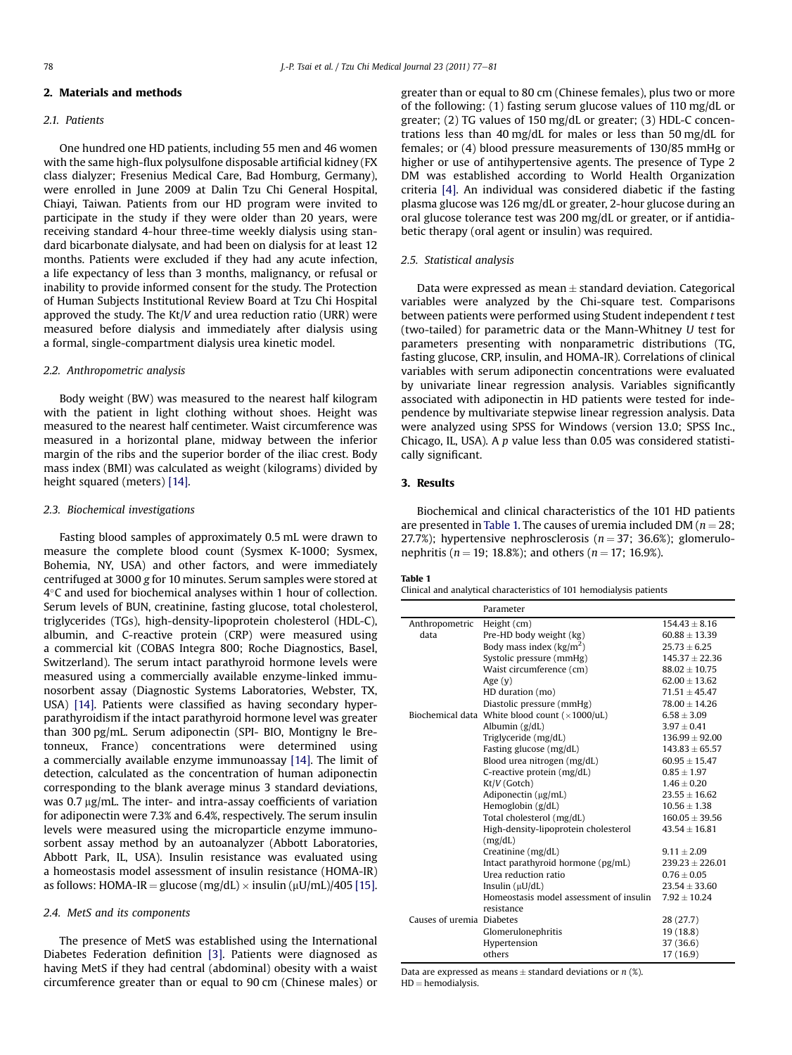## 2. Materials and methods

## 2.1 Patients

One hundred one HD patients, including 55 men and 46 women with the same high-flux polysulfone disposable artificial kidney (FX class dialyzer; Fresenius Medical Care, Bad Homburg, Germany), were enrolled in June 2009 at Dalin Tzu Chi General Hospital, Chiayi, Taiwan. Patients from our HD program were invited to participate in the study if they were older than 20 years, were receiving standard 4-hour three-time weekly dialysis using standard bicarbonate dialysate, and had been on dialysis for at least 12 months. Patients were excluded if they had any acute infection, a life expectancy of less than 3 months, malignancy, or refusal or inability to provide informed consent for the study. The Protection of Human Subjects Institutional Review Board at Tzu Chi Hospital approved the study. The  $Kt/V$  and urea reduction ratio (URR) were measured before dialysis and immediately after dialysis using a formal, single-compartment dialysis urea kinetic model.

#### 2.2. Anthropometric analysis

Body weight (BW) was measured to the nearest half kilogram with the patient in light clothing without shoes. Height was measured to the nearest half centimeter. Waist circumference was measured in a horizontal plane, midway between the inferior margin of the ribs and the superior border of the iliac crest. Body mass index (BMI) was calculated as weight (kilograms) divided by height squared (meters) [\[14\]](#page-3-0).

#### 2.3. Biochemical investigations

Fasting blood samples of approximately 0.5 mL were drawn to measure the complete blood count (Sysmex K-1000; Sysmex, Bohemia, NY, USA) and other factors, and were immediately centrifuged at 3000 g for 10 minutes. Serum samples were stored at 4-C and used for biochemical analyses within 1 hour of collection. Serum levels of BUN, creatinine, fasting glucose, total cholesterol, triglycerides (TGs), high-density-lipoprotein cholesterol (HDL-C), albumin, and C-reactive protein (CRP) were measured using a commercial kit (COBAS Integra 800; Roche Diagnostics, Basel, Switzerland). The serum intact parathyroid hormone levels were measured using a commercially available enzyme-linked immunosorbent assay (Diagnostic Systems Laboratories, Webster, TX, USA) [\[14\].](#page-3-0) Patients were classified as having secondary hyperparathyroidism if the intact parathyroid hormone level was greater than 300 pg/mL. Serum adiponectin (SPI- BIO, Montigny le Bretonneux, France) concentrations were determined using a commercially available enzyme immunoassay [\[14\].](#page-3-0) The limit of detection, calculated as the concentration of human adiponectin corresponding to the blank average minus 3 standard deviations, was  $0.7 \mu g/mL$ . The inter- and intra-assay coefficients of variation for adiponectin were 7.3% and 6.4%, respectively. The serum insulin levels were measured using the microparticle enzyme immunosorbent assay method by an autoanalyzer (Abbott Laboratories, Abbott Park, IL, USA). Insulin resistance was evaluated using a homeostasis model assessment of insulin resistance (HOMA-IR) as follows: HOMA-IR = glucose (mg/dL)  $\times$  insulin ( $\mu$ U/mL)/405 [\[15\].](#page-3-0)

#### 2.4. MetS and its components

The presence of MetS was established using the International Diabetes Federation definition [\[3\]](#page-3-0). Patients were diagnosed as having MetS if they had central (abdominal) obesity with a waist circumference greater than or equal to 90 cm (Chinese males) or greater than or equal to 80 cm (Chinese females), plus two or more of the following: (1) fasting serum glucose values of 110 mg/dL or greater; (2) TG values of 150 mg/dL or greater; (3) HDL-C concentrations less than 40 mg/dL for males or less than 50 mg/dL for females; or (4) blood pressure measurements of 130/85 mmHg or higher or use of antihypertensive agents. The presence of Type 2 DM was established according to World Health Organization criteria [\[4\]](#page-3-0). An individual was considered diabetic if the fasting plasma glucose was 126 mg/dL or greater, 2-hour glucose during an oral glucose tolerance test was 200 mg/dL or greater, or if antidiabetic therapy (oral agent or insulin) was required.

#### 2.5. Statistical analysis

Data were expressed as mean  $\pm$  standard deviation. Categorical variables were analyzed by the Chi-square test. Comparisons between patients were performed using Student independent t test (two-tailed) for parametric data or the Mann-Whitney U test for parameters presenting with nonparametric distributions (TG, fasting glucose, CRP, insulin, and HOMA-IR). Correlations of clinical variables with serum adiponectin concentrations were evaluated by univariate linear regression analysis. Variables significantly associated with adiponectin in HD patients were tested for independence by multivariate stepwise linear regression analysis. Data were analyzed using SPSS for Windows (version 13.0; SPSS Inc., Chicago, IL, USA). A p value less than 0.05 was considered statistically significant.

# 3. Results

Biochemical and clinical characteristics of the 101 HD patients are presented in Table 1. The causes of uremia included DM ( $n = 28$ ; 27.7%); hypertensive nephrosclerosis ( $n = 37$ ; 36.6%); glomerulonephritis ( $n = 19$ ; 18.8%); and others ( $n = 17$ ; 16.9%).

# Table 1

| Clinical and analytical characteristics of 101 hemodialysis patients |  |  |  |
|----------------------------------------------------------------------|--|--|--|
|----------------------------------------------------------------------|--|--|--|

|                           | Parameter                                       |                    |
|---------------------------|-------------------------------------------------|--------------------|
| Anthropometric            | Height (cm)                                     | $154.43 + 8.16$    |
| data                      | Pre-HD body weight (kg)                         | $60.88 \pm 13.39$  |
|                           | Body mass index $(kg/m2)$                       | $25.73 + 6.25$     |
|                           | Systolic pressure (mmHg)                        | $145.37 \pm 22.36$ |
|                           | Waist circumference (cm)                        | $88.02 \pm 10.75$  |
|                           | Age $(v)$                                       | $62.00 \pm 13.62$  |
|                           | HD duration (mo)                                | $71.51 \pm 45.47$  |
|                           | Diastolic pressure (mmHg)                       | $78.00 + 14.26$    |
|                           | Biochemical data White blood count $(x1000/uL)$ | $6.58 \pm 3.09$    |
|                           | Albumin $(g/dL)$                                | $3.97 + 0.41$      |
|                           | Triglyceride (mg/dL)                            | $136.99 \pm 92.00$ |
|                           | Fasting glucose (mg/dL)                         | $143.83 \pm 65.57$ |
|                           | Blood urea nitrogen (mg/dL)                     | $60.95 \pm 15.47$  |
|                           | C-reactive protein (mg/dL)                      | $0.85 + 1.97$      |
|                           | Kt/V (Gotch)                                    | $1.46 \pm 0.20$    |
|                           | Adiponectin $(\mu g/mL)$                        | $23.55 \pm 16.62$  |
|                           | Hemoglobin (g/dL)                               | $10.56 \pm 1.38$   |
|                           | Total cholesterol (mg/dL)                       | $160.05 \pm 39.56$ |
|                           | High-density-lipoprotein cholesterol<br>(mg/dL) | $43.54 \pm 16.81$  |
|                           | Creatinine (mg/dL)                              | $9.11 + 2.09$      |
|                           | Intact parathyroid hormone (pg/mL)              | $239.23 + 226.01$  |
|                           | Urea reduction ratio                            | $0.76 \pm 0.05$    |
|                           | Insulin $(\mu U/dL)$                            | $23.54 \pm 33.60$  |
|                           | Homeostasis model assessment of insulin         | $7.92 + 10.24$     |
|                           | resistance                                      |                    |
| Causes of uremia Diabetes |                                                 | 28 (27.7)          |
|                           | Glomerulonephritis                              | 19 (18.8)          |
|                           | Hypertension                                    |                    |
|                           |                                                 | 37 (36.6)          |

Data are expressed as means  $\pm$  standard deviations or n (%).  $HD = hemodialysis.$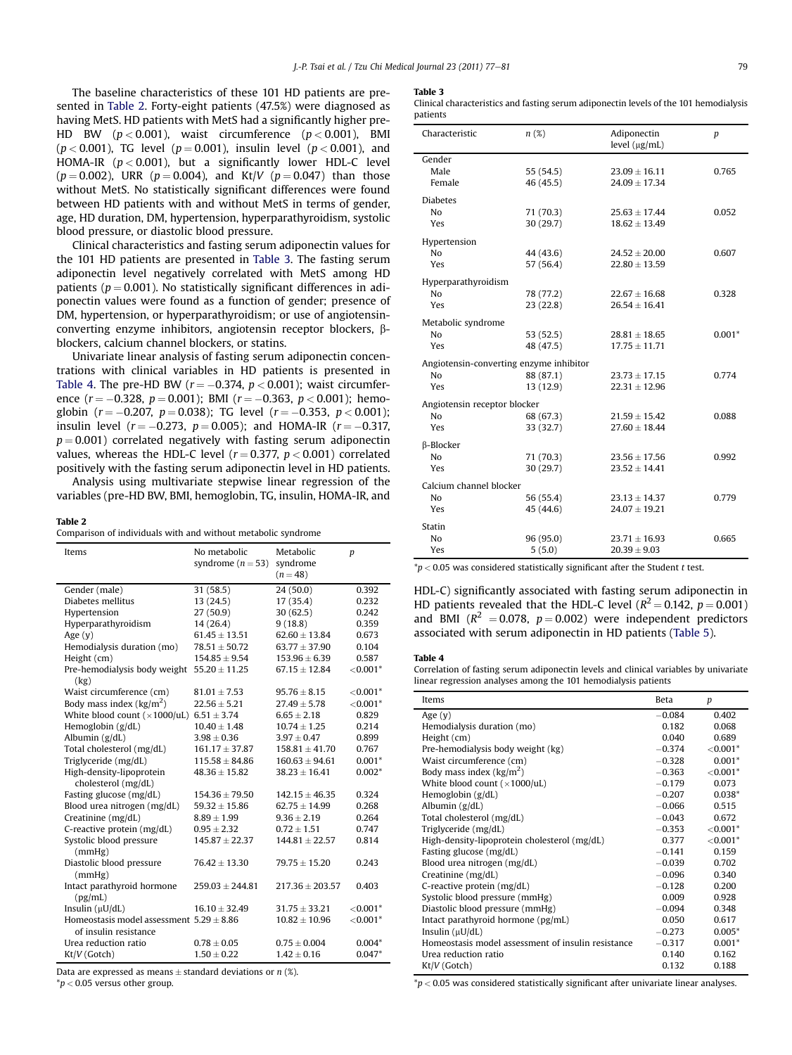The baseline characteristics of these 101 HD patients are presented in Table 2. Forty-eight patients (47.5%) were diagnosed as having MetS. HD patients with MetS had a significantly higher pre-HD BW  $(p < 0.001)$ , waist circumference  $(p < 0.001)$ , BMI  $(p < 0.001)$ , TG level  $(p = 0.001)$ , insulin level  $(p < 0.001)$ , and HOMA-IR  $(p < 0.001)$ , but a significantly lower HDL-C level  $(p = 0.002)$ , URR  $(p = 0.004)$ , and Kt/V  $(p = 0.047)$  than those without MetS. No statistically significant differences were found between HD patients with and without MetS in terms of gender, age, HD duration, DM, hypertension, hyperparathyroidism, systolic blood pressure, or diastolic blood pressure.

Clinical characteristics and fasting serum adiponectin values for the 101 HD patients are presented in Table 3. The fasting serum adiponectin level negatively correlated with MetS among HD patients ( $p = 0.001$ ). No statistically significant differences in adiponectin values were found as a function of gender; presence of DM, hypertension, or hyperparathyroidism; or use of angiotensinconverting enzyme inhibitors, angiotensin receptor blockers, bblockers, calcium channel blockers, or statins.

Univariate linear analysis of fasting serum adiponectin concentrations with clinical variables in HD patients is presented in Table 4. The pre-HD BW ( $r = -0.374$ ,  $p < 0.001$ ); waist circumference  $(r = -0.328, p = 0.001)$ ; BMI  $(r = -0.363, p < 0.001)$ ; hemoglobin ( $r = -0.207$ ,  $p = 0.038$ ); TG level ( $r = -0.353$ ,  $p < 0.001$ ); insulin level ( $r = -0.273$ ,  $p = 0.005$ ); and HOMA-IR ( $r = -0.317$ ,  $p = 0.001$ ) correlated negatively with fasting serum adiponectin values, whereas the HDL-C level ( $r = 0.377$ ,  $p < 0.001$ ) correlated positively with the fasting serum adiponectin level in HD patients.

Analysis using multivariate stepwise linear regression of the variables (pre-HD BW, BMI, hemoglobin, TG, insulin, HOMA-IR, and

#### Table 2

Comparison of individuals with and without metabolic syndrome

| No metabolic<br>Metabolic<br>Items<br>syndrome $(n=53)$<br>syndrome<br>$(n = 48)$          | p           |
|--------------------------------------------------------------------------------------------|-------------|
| 31 (58.5)<br>Gender (male)<br>24(50.0)                                                     | 0.392       |
| Diabetes mellitus<br>13(24.5)<br>17(35.4)                                                  | 0.232       |
| 27(50.9)<br>30(62.5)<br>Hypertension                                                       | 0.242       |
| 14 (26.4)<br>Hyperparathyroidism<br>9(18.8)                                                | 0.359       |
| $61.45 \pm 13.51$<br>$62.60 \pm 13.84$<br>Age $(y)$                                        | 0.673       |
| $78.51 \pm 50.72$<br>$63.77 \pm 37.90$<br>Hemodialysis duration (mo)                       | 0.104       |
| $154.85 \pm 9.54$<br>Height (cm)<br>$153.96 \pm 6.39$                                      | 0.587       |
| Pre-hemodialysis body weight $55.20 \pm 11.25$<br>$67.15 \pm 12.84$<br>(kg)                | ${<}0.001*$ |
| Waist circumference (cm)<br>$81.01 \pm 7.53$<br>$95.76 \pm 8.15$                           | ${<}0.001*$ |
| Body mass index $(kg/m2)$<br>$22.56 \pm 5.21$<br>$27.49 \pm 5.78$                          | ${<}0.001*$ |
| White blood count ( $\times$ 1000/uL) 6.51 $\pm$ 3.74<br>$6.65 \pm 2.18$                   | 0.829       |
| Hemoglobin (g/dL)<br>$10.40 \pm 1.48$<br>$10.74 \pm 1.25$                                  | 0.214       |
| Albumin $(g/dL)$<br>$3.98 \pm 0.36$<br>$3.97 \pm 0.47$                                     | 0.899       |
| Total cholesterol (mg/dL)<br>$161.17 \pm 37.87$<br>$158.81 \pm 41.70$                      | 0.767       |
| Triglyceride (mg/dL)<br>$115.58 \pm 84.86$<br>$160.63 \pm 94.61$                           | $0.001*$    |
| High-density-lipoprotein<br>$48.36 \pm 15.82$<br>$38.23 \pm 16.41$<br>cholesterol (mg/dL)  | $0.002*$    |
| Fasting glucose (mg/dL)<br>$154.36 \pm 79.50$<br>$142.15 \pm 46.35$                        | 0.324       |
| Blood urea nitrogen (mg/dL)<br>$59.32 \pm 15.86$<br>$62.75 \pm 14.99$                      | 0.268       |
| Creatinine (mg/dL)<br>$8.89 \pm 1.99$<br>$9.36 \pm 2.19$                                   | 0.264       |
| C-reactive protein (mg/dL)<br>$0.95 \pm 2.32$<br>$0.72 \pm 1.51$                           | 0.747       |
| Systolic blood pressure<br>$145.87 \pm 22.37$<br>$144.81 \pm 22.57$<br>(mmHg)              | 0.814       |
| Diastolic blood pressure<br>$76.42 \pm 13.30$<br>$79.75 \pm 15.20$<br>(mmHg)               | 0.243       |
| Intact parathyroid hormone<br>$259.03 \pm 244.81$<br>$217.36 \pm 203.57$<br>(pg/mL)        | 0.403       |
| Insulin $(\mu U/dL)$<br>$16.10 \pm 32.49$<br>$31.75 \pm 33.21$                             | ${<}0.001*$ |
| Homeostasis model assessment $5.29 \pm 8.86$<br>$10.82 \pm 10.96$<br>of insulin resistance | ${<}0.001*$ |
| Urea reduction ratio<br>$0.78 \pm 0.05$<br>$0.75 \pm 0.004$                                | $0.004*$    |
| Kt/V (Gotch)<br>$1.42 \pm 0.16$<br>$1.50 \pm 0.22$                                         | $0.047*$    |

Data are expressed as means  $\pm$  standard deviations or n (%).

 $*p$  < 0.05 versus other group.

#### Table 3

Clinical characteristics and fasting serum adiponectin levels of the 101 hemodialysis patients

| Characteristic                                                   | $n(\%)$                | Adiponectin<br>level (µg/mL)           | $\boldsymbol{p}$ |
|------------------------------------------------------------------|------------------------|----------------------------------------|------------------|
| Gender<br>Male<br>Female                                         | 55 (54.5)<br>46(45.5)  | $23.09 \pm 16.11$<br>$24.09 \pm 17.34$ | 0.765            |
| <b>Diabetes</b><br>No<br>Yes                                     | 71 (70.3)<br>30 (29.7) | $25.63 \pm 17.44$<br>$18.62 \pm 13.49$ | 0.052            |
| Hypertension<br>No<br>Yes                                        | 44 (43.6)<br>57 (56.4) | $24.52 \pm 20.00$<br>$22.80 \pm 13.59$ | 0.607            |
| Hyperparathyroidism<br>N <sub>0</sub><br>Yes                     | 78 (77.2)<br>23 (22.8) | $22.67 \pm 16.68$<br>$26.54 \pm 16.41$ | 0.328            |
| Metabolic syndrome<br>N <sub>0</sub><br>Yes                      | 53(52.5)<br>48 (47.5)  | $28.81 \pm 18.65$<br>$17.75 \pm 11.71$ | $0.001*$         |
| Angiotensin-converting enzyme inhibitor<br>N <sub>0</sub><br>Yes | 88 (87.1)<br>13 (12.9) | $23.73 \pm 17.15$<br>$22.31 \pm 12.96$ | 0.774            |
| Angiotensin receptor blocker<br>N <sub>0</sub><br>Yes            | 68 (67.3)<br>33 (32.7) | $21.59 \pm 15.42$<br>$27.60 \pm 18.44$ | 0.088            |
| β-Blocker<br>N <sub>0</sub><br><b>Yes</b>                        | 71 (70.3)<br>30 (29.7) | $23.56 \pm 17.56$<br>$23.52 \pm 14.41$ | 0.992            |
| Calcium channel blocker<br>No<br><b>Yes</b>                      | 56 (55.4)<br>45 (44.6) | $23.13 \pm 14.37$<br>$24.07 \pm 19.21$ | 0.779            |
| Statin<br>N <sub>0</sub><br>Yes                                  | 96 (95.0)<br>5(5.0)    | $23.71 \pm 16.93$<br>$20.39 \pm 9.03$  | 0.665            |

 $p < 0.05$  was considered statistically significant after the Student t test.

HDL-C) significantly associated with fasting serum adiponectin in HD patients revealed that the HDL-C level ( $R^2 = 0.142$ ,  $p = 0.001$ ) and BMI ( $R^2 = 0.078$ ,  $p = 0.002$ ) were independent predictors associated with serum adiponectin in HD patients ([Table 5\)](#page-3-0).

### Table 4

Correlation of fasting serum adiponectin levels and clinical variables by univariate linear regression analyses among the 101 hemodialysis patients

| Items                                              | <b>Beta</b> | p           |
|----------------------------------------------------|-------------|-------------|
| Age $(y)$                                          | $-0.084$    | 0.402       |
| Hemodialysis duration (mo)                         | 0.182       | 0.068       |
| Height (cm)                                        | 0.040       | 0.689       |
| Pre-hemodialysis body weight (kg)                  | $-0.374$    | ${<}0.001*$ |
| Waist circumference (cm)                           | $-0.328$    | $0.001*$    |
| Body mass index $(kg/m2)$                          | $-0.363$    | ${<}0.001*$ |
| White blood count $(\times 1000/\text{uL})$        | $-0.179$    | 0.073       |
| Hemoglobin $(g/dL)$                                | $-0.207$    | $0.038*$    |
| Albumin $(g/dL)$                                   | $-0.066$    | 0.515       |
| Total cholesterol (mg/dL)                          | $-0.043$    | 0.672       |
| Triglyceride (mg/dL)                               | $-0.353$    | ${<}0.001*$ |
| High-density-lipoprotein cholesterol (mg/dL)       | 0.377       | ${<}0.001*$ |
| Fasting glucose (mg/dL)                            | $-0.141$    | 0.159       |
| Blood urea nitrogen (mg/dL)                        | $-0.039$    | 0.702       |
| Creatinine (mg/dL)                                 | $-0.096$    | 0.340       |
| C-reactive protein (mg/dL)                         | $-0.128$    | 0.200       |
| Systolic blood pressure (mmHg)                     | 0.009       | 0.928       |
| Diastolic blood pressure (mmHg)                    | $-0.094$    | 0.348       |
| Intact parathyroid hormone (pg/mL)                 | 0.050       | 0.617       |
| Insulin $(\mu U/dL)$                               | $-0.273$    | $0.005*$    |
| Homeostasis model assessment of insulin resistance | $-0.317$    | $0.001*$    |
| Urea reduction ratio                               | 0.140       | 0.162       |
| Kt/V (Gotch)                                       | 0.132       | 0.188       |

 $np < 0.05$  was considered statistically significant after univariate linear analyses.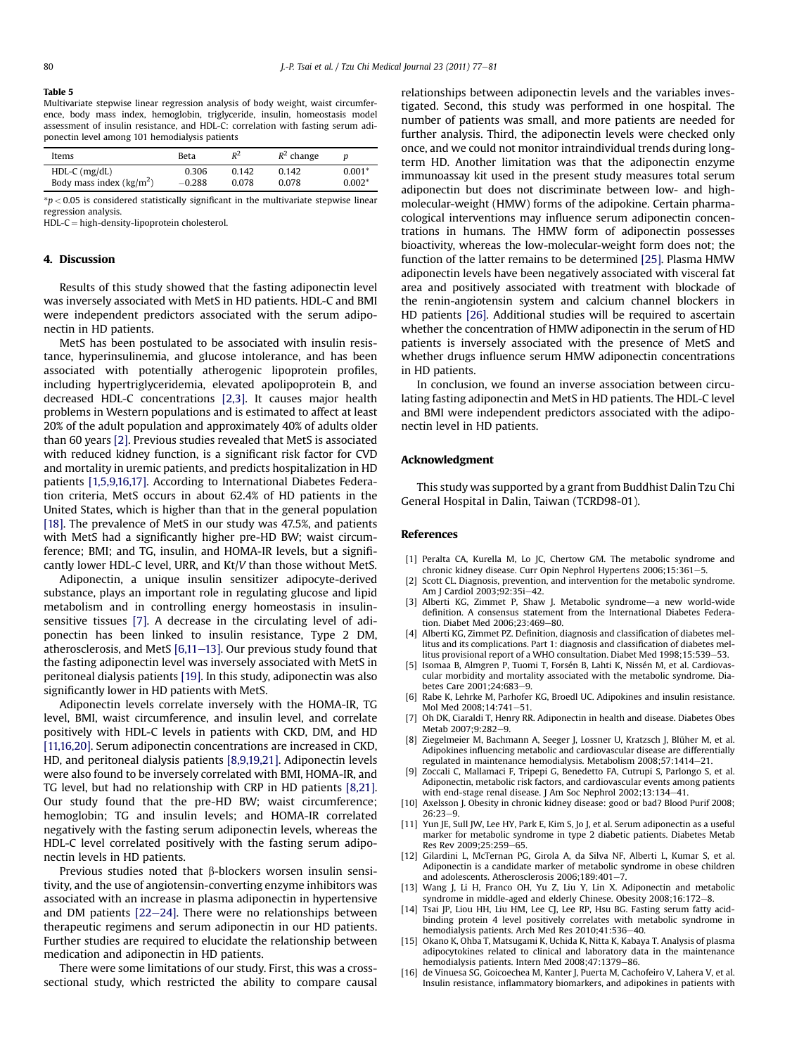#### <span id="page-3-0"></span>Table 5

Multivariate stepwise linear regression analysis of body weight, waist circumference, body mass index, hemoglobin, triglyceride, insulin, homeostasis model assessment of insulin resistance, and HDL-C: correlation with fasting serum adiponectin level among 101 hemodialysis patients

| Items                            | Beta     | $R^2$ | $R^2$ change |          |
|----------------------------------|----------|-------|--------------|----------|
| $HDL-C$ (mg/dL)                  | 0.306    | 0.142 | 0.142        | $0.001*$ |
| Body mass index $\frac{kg}{m^2}$ | $-0.288$ | 0.078 | 0.078        | $0.002*$ |

 $p < 0.05$  is considered statistically significant in the multivariate stepwise linear regression analysis.

 $HDL-C = high-density-lipoprotein cholesterol.$ 

#### 4. Discussion

Results of this study showed that the fasting adiponectin level was inversely associated with MetS in HD patients. HDL-C and BMI were independent predictors associated with the serum adiponectin in HD patients.

MetS has been postulated to be associated with insulin resistance, hyperinsulinemia, and glucose intolerance, and has been associated with potentially atherogenic lipoprotein profiles, including hypertriglyceridemia, elevated apolipoprotein B, and decreased HDL-C concentrations [2,3]. It causes major health problems in Western populations and is estimated to affect at least 20% of the adult population and approximately 40% of adults older than 60 years [2]. Previous studies revealed that MetS is associated with reduced kidney function, is a significant risk factor for CVD and mortality in uremic patients, and predicts hospitalization in HD patients [1,5,9,16,17]. According to International Diabetes Federation criteria, MetS occurs in about 62.4% of HD patients in the United States, which is higher than that in the general population [\[18\].](#page-4-0) The prevalence of MetS in our study was 47.5%, and patients with MetS had a significantly higher pre-HD BW; waist circumference; BMI; and TG, insulin, and HOMA-IR levels, but a significantly lower HDL-C level, URR, and Kt/V than those without MetS.

Adiponectin, a unique insulin sensitizer adipocyte-derived substance, plays an important role in regulating glucose and lipid metabolism and in controlling energy homeostasis in insulinsensitive tissues [7]. A decrease in the circulating level of adiponectin has been linked to insulin resistance, Type 2 DM, atherosclerosis, and MetS  $[6,11-13]$ . Our previous study found that the fasting adiponectin level was inversely associated with MetS in peritoneal dialysis patients [\[19\]](#page-4-0). In this study, adiponectin was also significantly lower in HD patients with MetS.

Adiponectin levels correlate inversely with the HOMA-IR, TG level, BMI, waist circumference, and insulin level, and correlate positively with HDL-C levels in patients with CKD, DM, and HD [11,16,20]. Serum adiponectin concentrations are increased in CKD, HD, and peritoneal dialysis patients [8,9,19,21]. Adiponectin levels were also found to be inversely correlated with BMI, HOMA-IR, and TG level, but had no relationship with CRP in HD patients [8,21]. Our study found that the pre-HD BW; waist circumference; hemoglobin; TG and insulin levels; and HOMA-IR correlated negatively with the fasting serum adiponectin levels, whereas the HDL-C level correlated positively with the fasting serum adiponectin levels in HD patients.

Previous studies noted that  $\beta$ -blockers worsen insulin sensitivity, and the use of angiotensin-converting enzyme inhibitors was associated with an increase in plasma adiponectin in hypertensive and DM patients  $[22-24]$  $[22-24]$ . There were no relationships between therapeutic regimens and serum adiponectin in our HD patients. Further studies are required to elucidate the relationship between medication and adiponectin in HD patients.

There were some limitations of our study. First, this was a crosssectional study, which restricted the ability to compare causal relationships between adiponectin levels and the variables investigated. Second, this study was performed in one hospital. The number of patients was small, and more patients are needed for further analysis. Third, the adiponectin levels were checked only once, and we could not monitor intraindividual trends during longterm HD. Another limitation was that the adiponectin enzyme immunoassay kit used in the present study measures total serum adiponectin but does not discriminate between low- and highmolecular-weight (HMW) forms of the adipokine. Certain pharmacological interventions may influence serum adiponectin concentrations in humans. The HMW form of adiponectin possesses bioactivity, whereas the low-molecular-weight form does not; the function of the latter remains to be determined [\[25\]](#page-4-0). Plasma HMW adiponectin levels have been negatively associated with visceral fat area and positively associated with treatment with blockade of the renin-angiotensin system and calcium channel blockers in HD patients [\[26\].](#page-4-0) Additional studies will be required to ascertain whether the concentration of HMW adiponectin in the serum of HD patients is inversely associated with the presence of MetS and whether drugs influence serum HMW adiponectin concentrations in HD patients.

In conclusion, we found an inverse association between circulating fasting adiponectin and MetS in HD patients. The HDL-C level and BMI were independent predictors associated with the adiponectin level in HD patients.

#### Acknowledgment

This study was supported by a grant from Buddhist Dalin Tzu Chi General Hospital in Dalin, Taiwan (TCRD98-01).

#### References

- [1] Peralta CA, Kurella M, Lo JC, Chertow GM. The metabolic syndrome and chronic kidney disease. Curr Opin Nephrol Hypertens 2006;15:361-5
- [2] Scott CL. Diagnosis, prevention, and intervention for the metabolic syndrome. Am I Cardiol 2003:92:35i-42.
- [3] Alberti KG, Zimmet P, Shaw J. Metabolic syndrome-a new world-wide definition. A consensus statement from the International Diabetes Federation. Diabet Med 2006:23:469-80.
- [4] Alberti KG, Zimmet PZ. Definition, diagnosis and classification of diabetes mellitus and its complications. Part 1: diagnosis and classification of diabetes mellitus provisional report of a WHO consultation. Diabet Med  $1998:15:539-53$ .
- [5] Isomaa B, Almgren P, Tuomi T, Forsén B, Lahti K, Nissén M, et al. Cardiovascular morbidity and mortality associated with the metabolic syndrome. Diabetes Care 2001:24:683-9.
- [6] Rabe K, Lehrke M, Parhofer KG, Broedl UC. Adipokines and insulin resistance. Mol Med 2008:14:741-51
- [7] Oh DK, Ciaraldi T, Henry RR. Adiponectin in health and disease. Diabetes Obes Metab 2007:9:282-9.
- [8] Ziegelmeier M, Bachmann A, Seeger J, Lossner U, Kratzsch J, Blüher M, et al. Adipokines influencing metabolic and cardiovascular disease are differentially regulated in maintenance hemodialysis. Metabolism 2008;57:1414-21.
- Zoccali C, Mallamaci F, Tripepi G, Benedetto FA, Cutrupi S, Parlongo S, et al. Adiponectin, metabolic risk factors, and cardiovascular events among patients with end-stage renal disease. J Am Soc Nephrol 2002;13:134-41.
- [10] Axelsson J. Obesity in chronic kidney disease: good or bad? Blood Purif 2008;  $26:23-9$
- [11] Yun JE, Sull JW, Lee HY, Park E, Kim S, Jo J, et al. Serum adiponectin as a useful marker for metabolic syndrome in type 2 diabetic patients. Diabetes Metab Res Rev 2009:25:259-65.
- [12] Gilardini L, McTernan PG, Girola A, da Silva NF, Alberti L, Kumar S, et al. Adiponectin is a candidate marker of metabolic syndrome in obese children and adolescents. Atherosclerosis  $2006;189:401-7$
- [13] Wang J, Li H, Franco OH, Yu Z, Liu Y, Lin X. Adiponectin and metabolic syndrome in middle-aged and elderly Chinese. Obesity 2008;16:172-8.
- [14] Tsai JP, Liou HH, Liu HM, Lee CJ, Lee RP, Hsu BG. Fasting serum fatty acidbinding protein 4 level positively correlates with metabolic syndrome in hemodialysis patients. Arch Med Res 2010;41:536-40.
- [15] Okano K, Ohba T, Matsugami K, Uchida K, Nitta K, Kabaya T. Analysis of plasma adipocytokines related to clinical and laboratory data in the maintenance hemodialysis patients. Intern Med 2008;47:1379-86.
- [16] de Vinuesa SG, Goicoechea M, Kanter J, Puerta M, Cachofeiro V, Lahera V, et al. Insulin resistance, inflammatory biomarkers, and adipokines in patients with